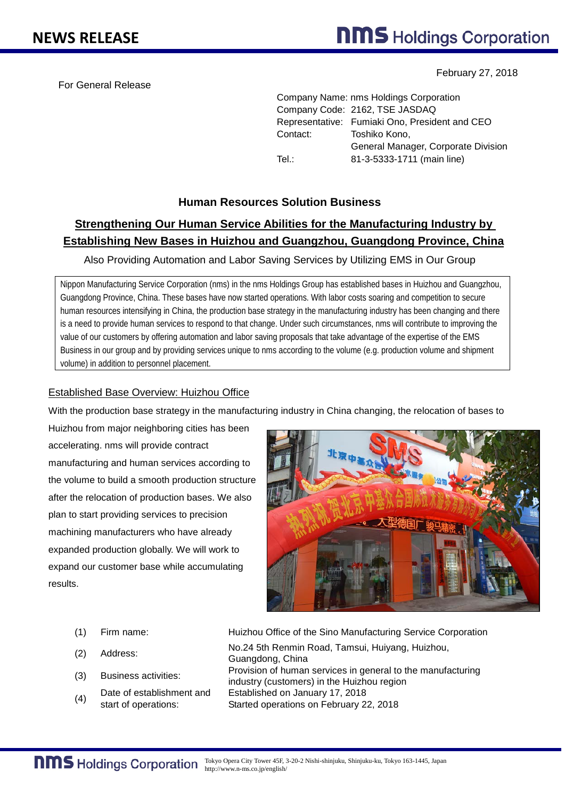For General Release

February 27, 2018

Company Name: nms Holdings Corporation Company Code: 2162, TSE JASDAQ Representative: Fumiaki Ono, President and CEO Contact: Toshiko Kono, General Manager, Corporate Division Tel.: 81-3-5333-1711 (main line)

# **Human Resources Solution Business**

# **Strengthening Our Human Service Abilities for the Manufacturing Industry by Establishing New Bases in Huizhou and Guangzhou, Guangdong Province, China**

Also Providing Automation and Labor Saving Services by Utilizing EMS in Our Group

Nippon Manufacturing Service Corporation (nms) in the nms Holdings Group has established bases in Huizhou and Guangzhou, Guangdong Province, China. These bases have now started operations. With labor costs soaring and competition to secure human resources intensifying in China, the production base strategy in the manufacturing industry has been changing and there is a need to provide human services to respond to that change. Under such circumstances, nms will contribute to improving the value of our customers by offering automation and labor saving proposals that take advantage of the expertise of the EMS Business in our group and by providing services unique to nms according to the volume (e.g. production volume and shipment volume) in addition to personnel placement.

### Established Base Overview: Huizhou Office

With the production base strategy in the manufacturing industry in China changing, the relocation of bases to

Huizhou from major neighboring cities has been accelerating. nms will provide contract manufacturing and human services according to the volume to build a smooth production structure after the relocation of production bases. We also plan to start providing services to precision machining manufacturers who have already expanded production globally. We will work to expand our customer base while accumulating results.



- 
- (2) Address:
- 
- (4) Date of establishment and start of operations:

(1) Firm name: Huizhou Office of the Sino Manufacturing Service Corporation No.24 5th Renmin Road, Tamsui, Huiyang, Huizhou, Guangdong, China (3) Business activities: Provision of human services in general to the manufacturing industry (customers) in the Huizhou region Established on January 17, 2018 Started operations on February 22, 2018